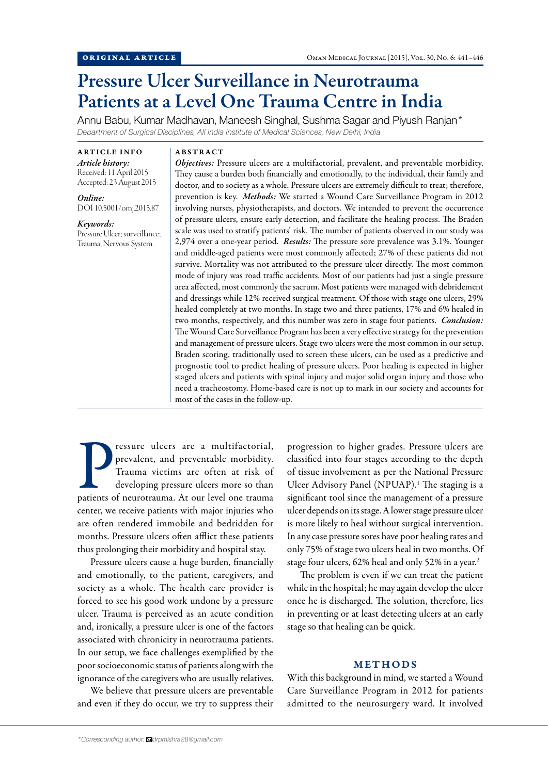# Pressure Ulcer Surveillance in Neurotrauma Patients at a Level One Trauma Centre in India

Annu Babu, Kumar Madhavan, Maneesh Singhal, Sushma Sagar and Piyush Ranjan\* *Department of Surgical Disciplines, All India Institute of Medical Sciences, New Delhi, India*

ARTICLE INFO *Article history:*  Received: 11 April 2015 Accepted: 23 August 2015

*Online:* DOI 10.5001/omj.2015.87

*Keywords:*  Pressure Ulcer; surveillance; Trauma, Nervous System.

ABSTRACT

*Objectives:* Pressure ulcers are a multifactorial, prevalent, and preventable morbidity. They cause a burden both financially and emotionally, to the individual, their family and doctor, and to society as a whole. Pressure ulcers are extremely difficult to treat; therefore, prevention is key. *Methods:* We started a Wound Care Surveillance Program in 2012 involving nurses, physiotherapists, and doctors. We intended to prevent the occurrence of pressure ulcers, ensure early detection, and facilitate the healing process. The Braden scale was used to stratify patients' risk. The number of patients observed in our study was 2,974 over a one-year period. *Results:* The pressure sore prevalence was 3.1%. Younger and middle-aged patients were most commonly affected; 27% of these patients did not survive. Mortality was not attributed to the pressure ulcer directly. The most common mode of injury was road traffic accidents. Most of our patients had just a single pressure area affected, most commonly the sacrum. Most patients were managed with debridement and dressings while 12% received surgical treatment. Of those with stage one ulcers, 29% healed completely at two months. In stage two and three patients, 17% and 6% healed in two months, respectively, and this number was zero in stage four patients. *Conclusion:*  The Wound Care Surveillance Program has been a very effective strategy for the prevention and management of pressure ulcers. Stage two ulcers were the most common in our setup. Braden scoring, traditionally used to screen these ulcers, can be used as a predictive and prognostic tool to predict healing of pressure ulcers. Poor healing is expected in higher staged ulcers and patients with spinal injury and major solid organ injury and those who need a tracheostomy. Home-based care is not up to mark in our society and accounts for most of the cases in the follow-up.

Pressure ulcers are a multifactorial, prevalent, and preventable morbidity.<br>Trauma victims are often at risk of developing pressure ulcers more so than<br>patients of neurotrauma. At our level one trauma ressure ulcers are a multifactorial, prevalent, and preventable morbidity. Trauma victims are often at risk of developing pressure ulcers more so than center, we receive patients with major injuries who are often rendered immobile and bedridden for months. Pressure ulcers often afflict these patients thus prolonging their morbidity and hospital stay.

Pressure ulcers cause a huge burden, financially and emotionally, to the patient, caregivers, and society as a whole. The health care provider is forced to see his good work undone by a pressure ulcer. Trauma is perceived as an acute condition and, ironically, a pressure ulcer is one of the factors associated with chronicity in neurotrauma patients. In our setup, we face challenges exemplified by the poor socioeconomic status of patients along with the ignorance of the caregivers who are usually relatives.

We believe that pressure ulcers are preventable and even if they do occur, we try to suppress their progression to higher grades. Pressure ulcers are classified into four stages according to the depth of tissue involvement as per the National Pressure Ulcer Advisory Panel (NPUAP).<sup>1</sup> The staging is a significant tool since the management of a pressure ulcer depends on its stage. A lower stage pressure ulcer is more likely to heal without surgical intervention. In any case pressure sores have poor healing rates and only 75% of stage two ulcers heal in two months. Of stage four ulcers, 62% heal and only 52% in a year.<sup>2</sup>

The problem is even if we can treat the patient while in the hospital; he may again develop the ulcer once he is discharged. The solution, therefore, lies in preventing or at least detecting ulcers at an early stage so that healing can be quick.

## METHODS

With this background in mind, we started a Wound Care Surveillance Program in 2012 for patients admitted to the neurosurgery ward. It involved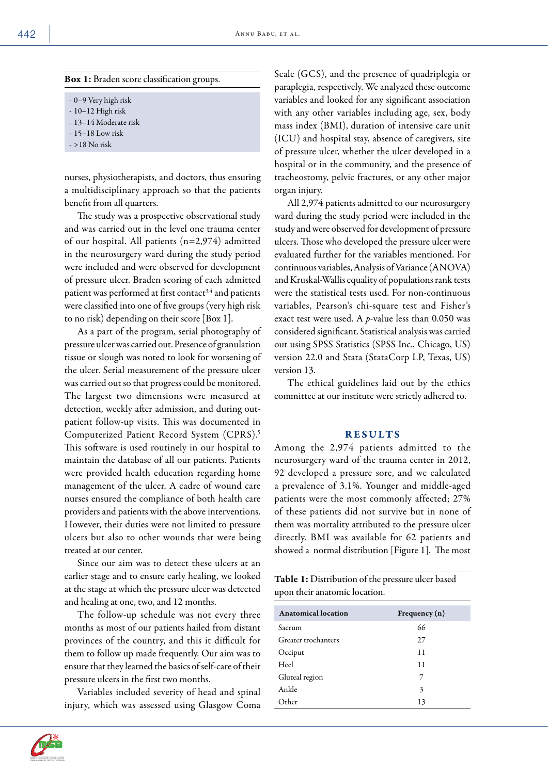| <b>Box 1:</b> Braden score classification groups. |  |  |  |
|---------------------------------------------------|--|--|--|
|---------------------------------------------------|--|--|--|

- 0–9 Very high risk
- 10–12 High risk
- 13–14 Moderate risk
- 15–18 Low risk
- >18 No risk

nurses, physiotherapists, and doctors, thus ensuring a multidisciplinary approach so that the patients benefit from all quarters.

The study was a prospective observational study and was carried out in the level one trauma center of our hospital. All patients (n=2,974) admitted in the neurosurgery ward during the study period were included and were observed for development of pressure ulcer. Braden scoring of each admitted patient was performed at first contact<sup>3,4</sup> and patients were classified into one of five groups (very high risk to no risk) depending on their score [Box 1].

As a part of the program, serial photography of pressure ulcer was carried out. Presence of granulation tissue or slough was noted to look for worsening of the ulcer. Serial measurement of the pressure ulcer was carried out so that progress could be monitored. The largest two dimensions were measured at detection, weekly after admission, and during outpatient follow-up visits. This was documented in Computerized Patient Record System (CPRS).5 This software is used routinely in our hospital to maintain the database of all our patients. Patients were provided health education regarding home management of the ulcer. A cadre of wound care nurses ensured the compliance of both health care providers and patients with the above interventions. However, their duties were not limited to pressure ulcers but also to other wounds that were being treated at our center.

Since our aim was to detect these ulcers at an earlier stage and to ensure early healing, we looked at the stage at which the pressure ulcer was detected and healing at one, two, and 12 months.

The follow-up schedule was not every three months as most of our patients hailed from distant provinces of the country, and this it difficult for them to follow up made frequently. Our aim was to ensure that they learned the basics of self-care of their pressure ulcers in the first two months.

Variables included severity of head and spinal injury, which was assessed using Glasgow Coma Scale (GCS), and the presence of quadriplegia or paraplegia, respectively. We analyzed these outcome variables and looked for any significant association with any other variables including age, sex, body mass index (BMI), duration of intensive care unit (ICU) and hospital stay, absence of caregivers, site of pressure ulcer, whether the ulcer developed in a hospital or in the community, and the presence of tracheostomy, pelvic fractures, or any other major organ injury.

All 2,974 patients admitted to our neurosurgery ward during the study period were included in the study and were observed for development of pressure ulcers. Those who developed the pressure ulcer were evaluated further for the variables mentioned. For continuous variables, Analysis of Variance (ANOVA) and Kruskal-Wallis equality of populations rank tests were the statistical tests used. For non-continuous variables, Pearson's chi-square test and Fisher's exact test were used. A *p*-value less than 0.050 was considered significant. Statistical analysis was carried out using SPSS Statistics (SPSS Inc., Chicago, US) version 22.0 and Stata (StataCorp LP, Texas, US) version 13.

The ethical guidelines laid out by the ethics committee at our institute were strictly adhered to.

## RESULTS

Among the 2,974 patients admitted to the neurosurgery ward of the trauma center in 2012, 92 developed a pressure sore, and we calculated a prevalence of 3.1%. Younger and middle-aged patients were the most commonly affected; 27% of these patients did not survive but in none of them was mortality attributed to the pressure ulcer directly. BMI was available for 62 patients and showed a normal distribution [Figure 1]. The most

| Table 1: Distribution of the pressure ulcer based |  |
|---------------------------------------------------|--|
| upon their anatomic location.                     |  |

| Anatomical location | Frequency $(n)$ |
|---------------------|-----------------|
| Sacrum              | 66              |
| Greater trochanters | 27              |
| Occiput             | 11              |
| Heel                | 11              |
| Gluteal region      | 7               |
| Ankle               | 3               |
| Other               | 13              |

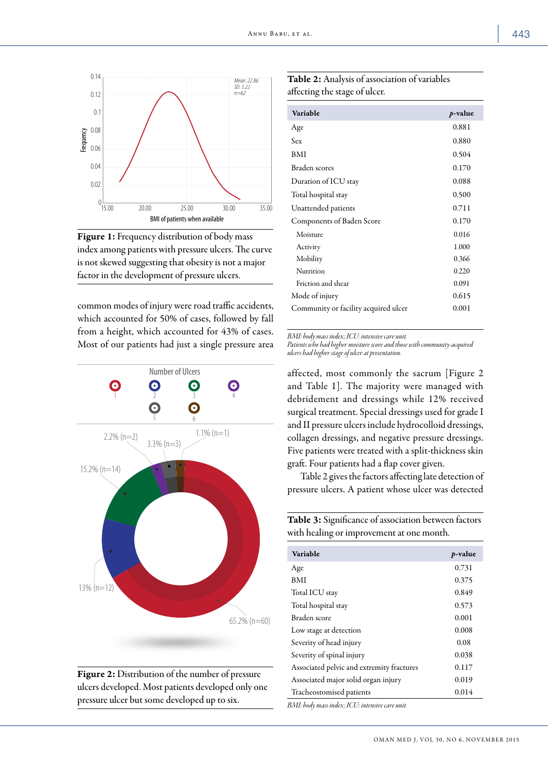

Figure 1: Frequency distribution of body mass index among patients with pressure ulcers. The curve is not skewed suggesting that obesity is not a major factor in the development of pressure ulcers.

common modes of injury were road traffic accidents, which accounted for 50% of cases, followed by fall from a height, which accounted for 43% of cases. Most of our patients had just a single pressure area





Table 2: Analysis of association of variables affecting the stage of ulcer.

| Variable                             | $p$ -value |
|--------------------------------------|------------|
| Age                                  | 0.881      |
| Sex                                  | 0.880      |
| <b>BMI</b>                           | 0.504      |
| Braden scores                        | 0.170      |
| Duration of ICU stay                 | 0.088      |
| Total hospital stay                  | 0.500      |
| Unattended patients                  | 0.711      |
| Components of Baden Score            | 0.170      |
| Moisture                             | 0.016      |
| Activity                             | 1.000      |
| Mobility                             | 0.366      |
| Nutrition                            | 0.220      |
| Friction and shear                   | 0.091      |
| Mode of injury                       | 0.615      |
| Community or facility acquired ulcer | 0.001      |

*BMI: body mass index; ICU: intensive care unit.*

*Patients who had higher moisture score and those with community-acquired ulcers had higher stage of ulcer at presentation.*

affected, most commonly the sacrum [Figure 2 and Table 1]. The majority were managed with debridement and dressings while 12% received surgical treatment. Special dressings used for grade I and II pressure ulcers include hydrocolloid dressings, collagen dressings, and negative pressure dressings. Five patients were treated with a split-thickness skin graft. Four patients had a flap cover given.

Table 2 gives the factors affecting late detection of pressure ulcers. A patient whose ulcer was detected

Table 3: Significance of association between factors with healing or improvement at one month.

| Variable                                  | <i>p</i> -value |
|-------------------------------------------|-----------------|
| Age                                       | 0.731           |
| <b>BMI</b>                                | 0.375           |
| Total ICU stay                            | 0.849           |
| Total hospital stay                       | 0.573           |
| Braden score                              | 0.001           |
| Low stage at detection                    | 0.008           |
| Severity of head injury                   | 0.08            |
| Severity of spinal injury                 | 0.038           |
| Associated pelvic and extremity fractures | 0.117           |
| Associated major solid organ injury       | 0.019           |
| Tracheostomised patients                  | 0.014           |
| $\overline{D}$                            |                 |

*BMI: body mass index; ICU: intensive care unit.*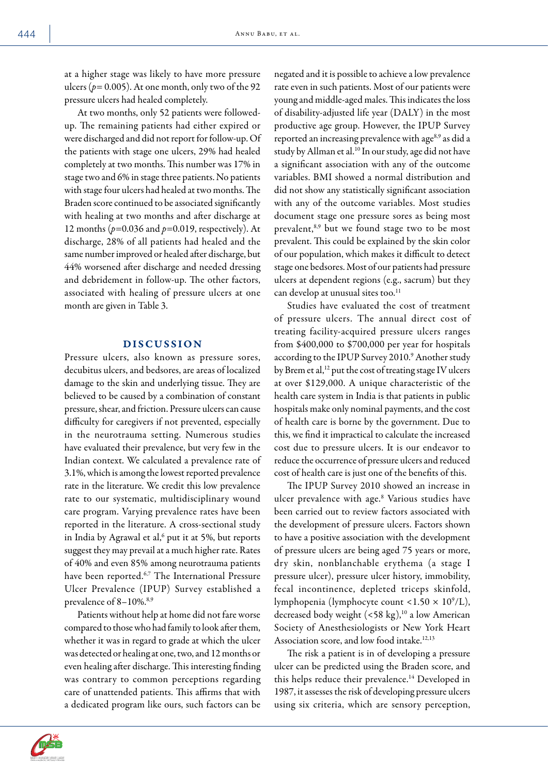at a higher stage was likely to have more pressure ulcers ( $p=0.005$ ). At one month, only two of the 92 pressure ulcers had healed completely.

At two months, only 52 patients were followedup. The remaining patients had either expired or were discharged and did not report for follow-up. Of the patients with stage one ulcers, 29% had healed completely at two months. This number was 17% in stage two and 6% in stage three patients. No patients with stage four ulcers had healed at two months. The Braden score continued to be associated significantly with healing at two months and after discharge at 12 months (*p=*0.036 and *p=*0.019, respectively). At discharge, 28% of all patients had healed and the same number improved or healed after discharge, but 44% worsened after discharge and needed dressing and debridement in follow-up. The other factors, associated with healing of pressure ulcers at one month are given in Table 3.

# DISCUSSION

Pressure ulcers, also known as pressure sores, decubitus ulcers, and bedsores, are areas of localized damage to the skin and underlying tissue. They are believed to be caused by a combination of constant pressure, shear, and friction. Pressure ulcers can cause difficulty for caregivers if not prevented, especially in the neurotrauma setting. Numerous studies have evaluated their prevalence, but very few in the Indian context. We calculated a prevalence rate of 3.1%, which is among the lowest reported prevalence rate in the literature. We credit this low prevalence rate to our systematic, multidisciplinary wound care program. Varying prevalence rates have been reported in the literature. A cross-sectional study in India by Agrawal et al,<sup>6</sup> put it at 5%, but reports suggest they may prevail at a much higher rate. Rates of 40% and even 85% among neurotrauma patients have been reported.<sup>6,7</sup> The International Pressure Ulcer Prevalence (IPUP) Survey established a prevalence of 8–10%.<sup>8,9</sup>

Patients without help at home did not fare worse compared to those who had family to look after them, whether it was in regard to grade at which the ulcer was detected or healing at one, two, and 12 months or even healing after discharge. This interesting finding was contrary to common perceptions regarding care of unattended patients. This affirms that with a dedicated program like ours, such factors can be

negated and it is possible to achieve a low prevalence rate even in such patients. Most of our patients were young and middle-aged males. This indicates the loss of disability-adjusted life year (DALY) in the most productive age group. However, the IPUP Survey reported an increasing prevalence with age<sup>8,9</sup> as did a study by Allman et al.<sup>10</sup> In our study, age did not have a significant association with any of the outcome variables. BMI showed a normal distribution and did not show any statistically significant association with any of the outcome variables. Most studies document stage one pressure sores as being most prevalent,8,9 but we found stage two to be most prevalent. This could be explained by the skin color of our population, which makes it difficult to detect stage one bedsores. Most of our patients had pressure ulcers at dependent regions (e.g., sacrum) but they can develop at unusual sites too.<sup>11</sup>

Studies have evaluated the cost of treatment of pressure ulcers. The annual direct cost of treating facility-acquired pressure ulcers ranges from \$400,000 to \$700,000 per year for hospitals according to the IPUP Survey 2010.<sup>9</sup> Another study by Brem et al,<sup>12</sup> put the cost of treating stage IV ulcers at over \$129,000. A unique characteristic of the health care system in India is that patients in public hospitals make only nominal payments, and the cost of health care is borne by the government. Due to this, we find it impractical to calculate the increased cost due to pressure ulcers. It is our endeavor to reduce the occurrence of pressure ulcers and reduced cost of health care is just one of the benefits of this.

The IPUP Survey 2010 showed an increase in ulcer prevalence with age.<sup>8</sup> Various studies have been carried out to review factors associated with the development of pressure ulcers. Factors shown to have a positive association with the development of pressure ulcers are being aged 75 years or more, dry skin, nonblanchable erythema (a stage I pressure ulcer), pressure ulcer history, immobility, fecal incontinence, depleted triceps skinfold, lymphopenia (lymphocyte count < $1.50 \times 10^9$ /L), decreased body weight  $(<58 \text{ kg})$ ,<sup>10</sup> a low American Society of Anesthesiologists or New York Heart Association score, and low food intake.<sup>12,13</sup>

The risk a patient is in of developing a pressure ulcer can be predicted using the Braden score, and this helps reduce their prevalence.<sup>14</sup> Developed in 1987, it assesses the risk of developing pressure ulcers using six criteria, which are sensory perception,

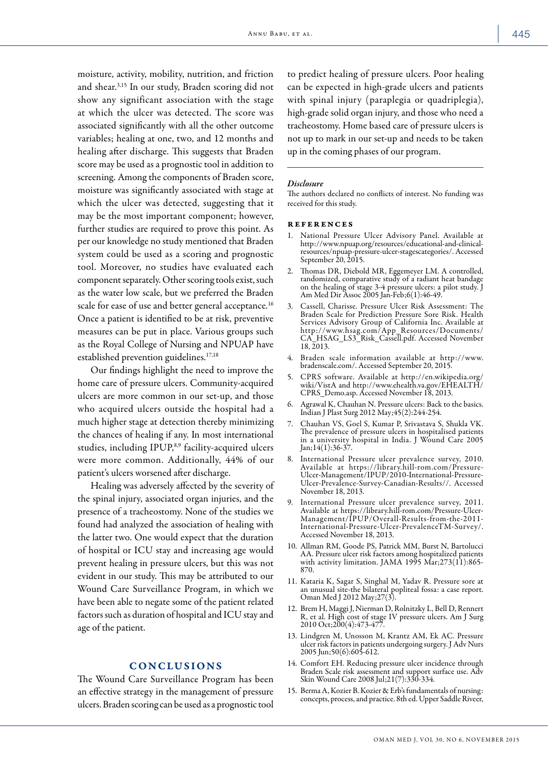moisture, activity, mobility, nutrition, and friction and shear.3,15 In our study, Braden scoring did not show any significant association with the stage at which the ulcer was detected. The score was associated significantly with all the other outcome variables; healing at one, two, and 12 months and healing after discharge. This suggests that Braden score may be used as a prognostic tool in addition to screening. Among the components of Braden score, moisture was significantly associated with stage at which the ulcer was detected, suggesting that it may be the most important component; however, further studies are required to prove this point. As per our knowledge no study mentioned that Braden system could be used as a scoring and prognostic tool. Moreover, no studies have evaluated each component separately. Other scoring tools exist, such as the water low scale, but we preferred the Braden scale for ease of use and better general acceptance.<sup>16</sup> Once a patient is identified to be at risk, preventive measures can be put in place. Various groups such as the Royal College of Nursing and NPUAP have established prevention guidelines.<sup>17,18</sup>

Our findings highlight the need to improve the home care of pressure ulcers. Community-acquired ulcers are more common in our set-up, and those who acquired ulcers outside the hospital had a much higher stage at detection thereby minimizing the chances of healing if any. In most international studies, including IPUP,<sup>8,9</sup> facility-acquired ulcers were more common. Additionally, 44% of our patient's ulcers worsened after discharge.

Healing was adversely affected by the severity of the spinal injury, associated organ injuries, and the presence of a tracheostomy. None of the studies we found had analyzed the association of healing with the latter two. One would expect that the duration of hospital or ICU stay and increasing age would prevent healing in pressure ulcers, but this was not evident in our study. This may be attributed to our Wound Care Surveillance Program, in which we have been able to negate some of the patient related factors such as duration of hospital and ICU stay and age of the patient.

## CONCLUSIONS

The Wound Care Surveillance Program has been an effective strategy in the management of pressure ulcers. Braden scoring can be used as a prognostic tool

to predict healing of pressure ulcers. Poor healing can be expected in high-grade ulcers and patients with spinal injury (paraplegia or quadriplegia), high-grade solid organ injury, and those who need a tracheostomy. Home based care of pressure ulcers is not up to mark in our set-up and needs to be taken up in the coming phases of our program.

### *Disclosure*

The authors declared no conflicts of interest. No funding was received for this study.

#### references

- 1. National Pressure Ulcer Advisory Panel. Available at http://www.npuap.org/resources/educational-and-clinicalresources/npuap-pressure-ulcer-stagescategories/. Accessed September 20, 2015.
- 2. Thomas DR, Diebold MR, Eggemeyer LM. A controlled, randomized, comparative study of a radiant heat bandage on the healing of stage 3-4 pressure ulcers: a pilot study. J Am Med Dir Assoc 2005 Jan-Feb;6(1):46-49.
- 3. Cassell, Charisse. Pressure Ulcer Risk Assessment: The Braden Scale for Prediction Pressure Sore Risk. Health Services Advisory Group of California Inc. Available at http://www.hsag.com/App\_Resources/Documents/ CA\_HSAG\_LS3\_Risk\_Cassell.pdf. Accessed November 18, 2013.
- 4. Braden scale information available at http://www. bradenscale.com/. Accessed September 20, 2015.
- 5. CPRS software. Available at http://en.wikipedia.org/ wiki/VistA and http://www.ehealth.va.gov/EHEALTH/ CPRS\_Demo.asp. Accessed November 18, 2013.
- 6. Agrawal K, Chauhan N. Pressure ulcers: Back to the basics. Indian J Plast Surg 2012 May;45(2):244-254.
- 7. Chauhan VS, Goel S, Kumar P, Srivastava S, Shukla VK. The prevalence of pressure ulcers in hospitalised patients in a university hospital in India. J Wound Care 2005 Jan;14(1):36-37.
- 8. International Pressure ulcer prevalence survey, 2010. Available at https://library.hill-rom.com/Pressure-Ulcer-Management/IPUP/2010-International-Pressure-Ulcer-Prevalence-Survey-Canadian-Results//. Accessed November 18, 2013.
- 9. International Pressure ulcer prevalence survey, 2011. Available at https://library.hill-rom.com/Pressure-Ulcer-Management/IPUP/Overall-Results-from-the-2011- International-Pressure-Ulcer-PrevalenceTM-Survey/. Accessed November 18, 2013.
- 10. Allman RM, Goode PS, Patrick MM, Burst N, Bartolucci AA. Pressure ulcer risk factors among hospitalized patients with activity limitation. JAMA 1995 Mar;273(11):865- 870.
- 11. Kataria K, Sagar S, Singhal M, Yadav R. Pressure sore at an unusual site-the bilateral popliteal fossa: a case report. Oman Med J 2012 May;27(3).
- 12. Brem H, Maggi J, Nierman D, Rolnitzky L, Bell D, Rennert R, et al. High cost of stage IV pressure ulcers. Am J Surg 2010 Oct;200(4):473-477.
- 13. Lindgren M, Unosson M, Krantz AM, Ek AC. Pressure ulcer risk factors in patients undergoing surgery. J Adv Nurs 2005 Jun;50(6):605-612.
- 14. Comfort EH. Reducing pressure ulcer incidence through Braden Scale risk assessment and support surface use. Adv Skin Wound Care 2008 Jul;21(7):330-334.
- 15. Berma A, Kozier B. Kozier & Erb's fundamentals of nursing: concepts, process, and practice. 8th ed. Upper Saddle Riveer,